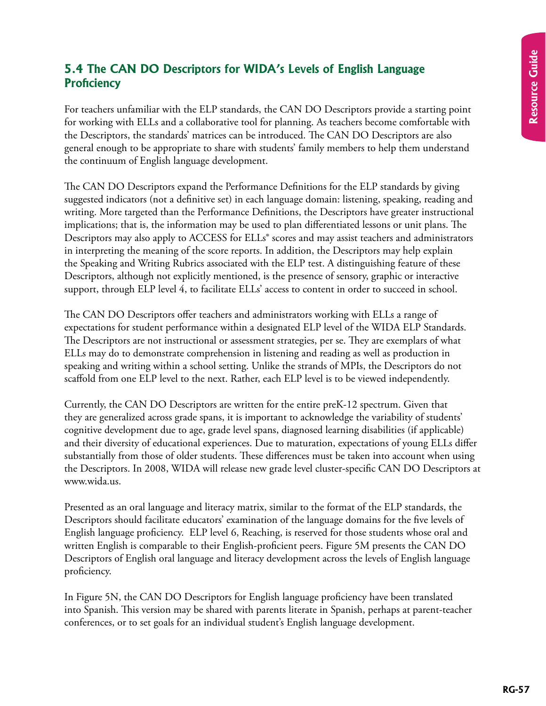## **5.4 The CAN DO Descriptors for WIDA's Levels of English Language Proficiency**

For teachers unfamiliar with the ELP standards, the CAN DO Descriptors provide a starting point for working with ELLs and a collaborative tool for planning. As teachers become comfortable with the Descriptors, the standards' matrices can be introduced. The CAN DO Descriptors are also general enough to be appropriate to share with students' family members to help them understand the continuum of English language development.

The CAN DO Descriptors expand the Performance Definitions for the ELP standards by giving suggested indicators (not a definitive set) in each language domain: listening, speaking, reading and writing. More targeted than the Performance Definitions, the Descriptors have greater instructional implications; that is, the information may be used to plan differentiated lessons or unit plans. The Descriptors may also apply to ACCESS for ELLs<sup>®</sup> scores and may assist teachers and administrators in interpreting the meaning of the score reports. In addition, the Descriptors may help explain the Speaking and Writing Rubrics associated with the ELP test. A distinguishing feature of these Descriptors, although not explicitly mentioned, is the presence of sensory, graphic or interactive support, through ELP level 4, to facilitate ELLs' access to content in order to succeed in school.

The CAN DO Descriptors offer teachers and administrators working with ELLs a range of expectations for student performance within a designated ELP level of the WIDA ELP Standards. The Descriptors are not instructional or assessment strategies, per se. They are exemplars of what ELLs may do to demonstrate comprehension in listening and reading as well as production in speaking and writing within a school setting. Unlike the strands of MPIs, the Descriptors do not scaffold from one ELP level to the next. Rather, each ELP level is to be viewed independently.

Currently, the CAN DO Descriptors are written for the entire preK-12 spectrum. Given that they are generalized across grade spans, it is important to acknowledge the variability of students' cognitive development due to age, grade level spans, diagnosed learning disabilities (if applicable) and their diversity of educational experiences. Due to maturation, expectations of young ELLs differ substantially from those of older students. These differences must be taken into account when using the Descriptors. In 2008, WIDA will release new grade level cluster-specific CAN DO Descriptors at www.wida.us.

Presented as an oral language and literacy matrix, similar to the format of the ELP standards, the Descriptors should facilitate educators' examination of the language domains for the five levels of English language proficiency. ELP level 6, Reaching, is reserved for those students whose oral and written English is comparable to their English-proficient peers. Figure 5M presents the CAN DO Descriptors of English oral language and literacy development across the levels of English language proficiency.

In Figure 5N, the CAN DO Descriptors for English language proficiency have been translated into Spanish. This version may be shared with parents literate in Spanish, perhaps at parent-teacher conferences, or to set goals for an individual student's English language development.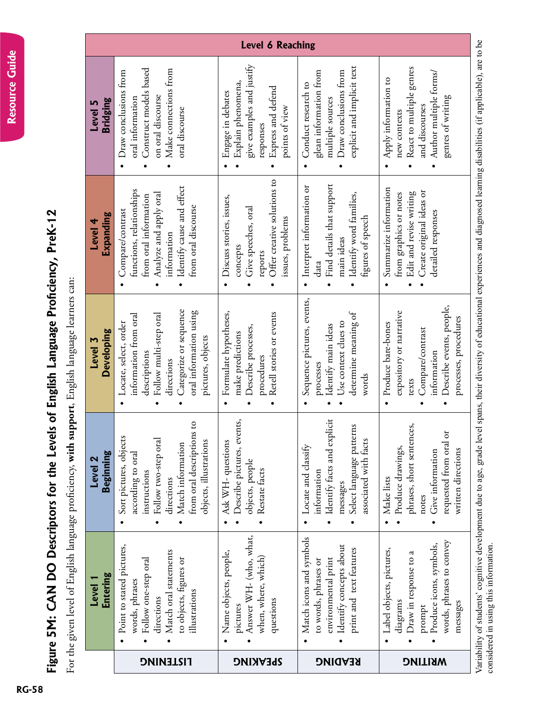## Figure **/-33 &1-Descriptors HQT-VJG-**Levels **QH-**English Language Proficiency, PreK-12

For the given level of English language proficiency, with support, English language learners can: For the given level of English language proficiency, **with support**, English language learners can:

| <b>Level 6 Reaching</b>         |                                                                                                                                                                                 |                                                                                                                                        |                                                                                                                                           |                                                                                                                                                |  |  |
|---------------------------------|---------------------------------------------------------------------------------------------------------------------------------------------------------------------------------|----------------------------------------------------------------------------------------------------------------------------------------|-------------------------------------------------------------------------------------------------------------------------------------------|------------------------------------------------------------------------------------------------------------------------------------------------|--|--|
| Bridging<br>Level 5             | Construct models based<br>Make connections from<br>Draw conclusions from<br>on oral discourse<br>oral information<br>oral discourse                                             | give examples and justify<br>Explain phenomena,<br>Express and defend<br>Engage in debates<br>points of view<br>responses              | explicit and implicit text<br>glean information from<br>Draw conclusions from<br>Conduct research to<br>multiple sources                  | React to multiple genres<br>Author multiple forms/<br>Apply information to<br>genres of writing<br>and discourses<br>new contexts              |  |  |
| Expanding<br>Level 4            | Identify cause and effect<br>functions, relationships<br>Analyze and apply oral<br>from oral information<br>from oral discourse<br>Compare/contrast<br>information              | Offer creative solutions to<br>Discuss stories, issues,<br>Give speeches, oral<br>issues, problems<br>concepts<br>reports<br>$\bullet$ | Find details that support<br>· Interpret information or<br>Identify word families,<br>figures of speech<br>main ideas<br>data             | Summarize information<br>Create original ideas or<br>Edit and revise writing<br>from graphics or notes<br>detailed responses                   |  |  |
| <b>Developing</b><br>Level 3    | Categorize or sequence<br>oral information using<br>Follow multi-step oral<br>information from oral<br>Locate, select, order<br>pictures, objects<br>descriptions<br>directions | Retell stories or events<br>Formulate hypotheses,<br>Describe processes,<br>make predictions<br>procedures                             | Sequence pictures, events,<br>determine meaning of<br>Use context clues to<br>Identify main ideas<br>processes<br>words                   | Describe events, people,<br>expository or narrative<br>processes, procedures<br>Produce bare-bones<br>Compare/contrast<br>information<br>texts |  |  |
| Beginning<br>Level <sub>2</sub> | from oral descriptions to<br>Sort pictures, objects<br>Follow two-step oral<br>objects, illustrations<br>Match information<br>according to oral<br>instructions<br>directions   | Describe pictures, events,<br>Ask WH-questions<br>objects, people<br>Restate facts                                                     | Identify facts and explicit<br>Select language patterns<br>associated with facts<br>Locate and classify<br>information<br>messages        | phrases, short sentences,<br>requested from oral or<br>Produce drawings,<br>written directions<br>Give information<br>Make lists<br>notes      |  |  |
| <b>Entering</b><br>Level 1      | Point to stated pictures,<br>Match oral statements<br>to objects, figures or<br>Follow one-step oral<br>words, phrases<br>illustrations<br>directions                           | Answer WH- (who, what,<br>Name objects, people,<br>when, where, which)<br>questions<br>pictures                                        | Match icons and symbols<br>Identify concepts about<br>print and text features<br>environmental print<br>to words, phrases or<br>$\bullet$ | words, phrases to convey<br>Produce icons, symbols,<br>Label objects, pictures,<br>Draw in response to a<br>diagrams<br>messages<br>prompt     |  |  |
|                                 | <b>TISTENING</b>                                                                                                                                                                | <b>SPEAKING</b>                                                                                                                        | <b>READING</b>                                                                                                                            | <b>MRITING</b>                                                                                                                                 |  |  |

Variability of students' cognitive development due to age, grade level spans, their diversity of educational experiences and diagnosed learning disabilities (if applicable), are to be Variability of students' cognitive development due to age, grade level spans, their diversity of educational experiences and diagnosed learning disabilities (if applicable), are to be considered in using this information. considered in using this information.